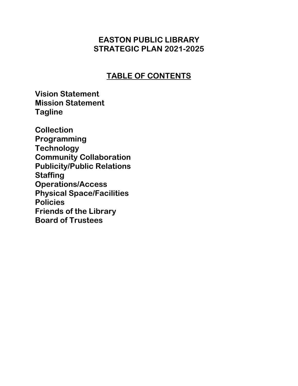# **EASTON PUBLIC LIBRARY STRATEGIC PLAN 2021-2025**

# **TABLE OF CONTENTS**

**Vision Statement Mission Statement Tagline**

**Collection Programming Technology Community Collaboration Publicity/Public Relations Staffing Operations/Access Physical Space/Facilities Policies Friends of the Library Board of Trustees**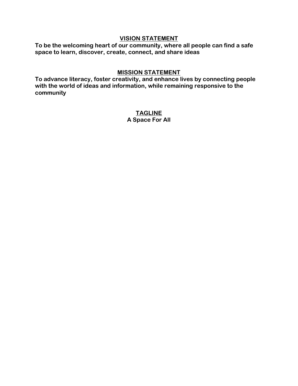#### **VISION STATEMENT**

**To be the welcoming heart of our community, where all people can find a safe space to learn, discover, create, connect, and share ideas**

#### **MISSION STATEMENT**

**To advance literacy, foster creativity, and enhance lives by connecting people with the world of ideas and information, while remaining responsive to the community**

#### **TAGLINE A Space For All**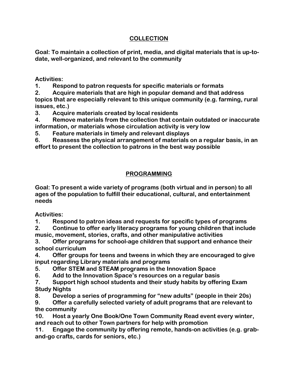## **COLLECTION**

**Goal: To maintain a collection of print, media, and digital materials that is up-todate, well-organized, and relevant to the community**

**Activities:**

**1. Respond to patron requests for specific materials or formats**

**2. Acquire materials that are high in popular demand and that address topics that are especially relevant to this unique community (e.g. farming, rural issues, etc.)**

**3. Acquire materials created by local residents**

**4. Remove materials from the collection that contain outdated or inaccurate information, or materials whose circulation activity is very low**

**5. Feature materials in timely and relevant displays**

**6. Reassess the physical arrangement of materials on a regular basis, in an effort to present the collection to patrons in the best way possible**

## **PROGRAMMING**

**Goal: To present a wide variety of programs (both virtual and in person) to all ages of the population to fulfill their educational, cultural, and entertainment needs**

**Activities:**

**1. Respond to patron ideas and requests for specific types of programs**

**2. Continue to offer early literacy programs for young children that include music, movement, stories, crafts, and other manipulative activities**

**3. Offer programs for school-age children that support and enhance their school curriculum**

**4. Offer groups for teens and tweens in which they are encouraged to give input regarding Library materials and programs**

**5. Offer STEM and STEAM programs in the Innovation Space**

**6. Add to the Innovation Space's resources on a regular basis**

**7. Support high school students and their study habits by offering Exam Study Nights**

**8. Develop a series of programming for "new adults" (people in their 20s)**

**9. Offer a carefully selected variety of adult programs that are relevant to the community**

**10. Host a yearly One Book/One Town Community Read event every winter, and reach out to other Town partners for help with promotion**

**11. Engage the community by offering remote, hands-on activities (e.g. graband-go crafts, cards for seniors, etc.)**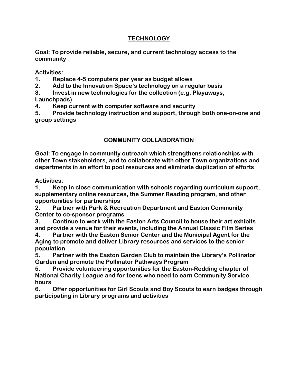#### **TECHNOLOGY**

**Goal: To provide reliable, secure, and current technology access to the community**

**Activities:**

- **1. Replace 4-5 computers per year as budget allows**
- **2. Add to the Innovation Space's technology on a regular basis**
- **3. Invest in new technologies for the collection (e.g. Playaways, Launchpads)**
- **4. Keep current with computer software and security**

**5. Provide technology instruction and support, through both one-on-one and group settings**

## **COMMUNITY COLLABORATION**

**Goal: To engage in community outreach which strengthens relationships with other Town stakeholders, and to collaborate with other Town organizations and departments in an effort to pool resources and eliminate duplication of efforts**

**Activities:**

**1. Keep in close communication with schools regarding curriculum support, supplementary online resources, the Summer Reading program, and other opportunities for partnerships**

**2. Partner with Park & Recreation Department and Easton Community Center to co-sponsor programs**

**3. Continue to work with the Easton Arts Council to house their art exhibits and provide a venue for their events, including the Annual Classic Film Series**

**4. Partner with the Easton Senior Center and the Municipal Agent for the Aging to promote and deliver Library resources and services to the senior population**

**5. Partner with the Easton Garden Club to maintain the Library's Pollinator Garden and promote the Pollinator Pathways Program**

**5. Provide volunteering opportunities for the Easton-Redding chapter of National Charity League and for teens who need to earn Community Service hours**

**6. Offer opportunities for Girl Scouts and Boy Scouts to earn badges through participating in Library programs and activities**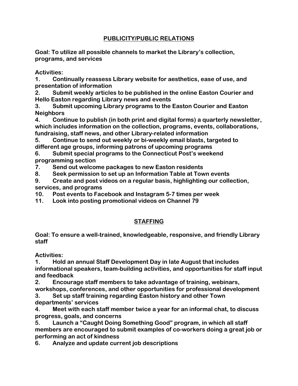### **PUBLICITY/PUBLIC RELATIONS**

**Goal: To utilize all possible channels to market the Library's collection, programs, and services**

**Activities:**

**1. Continually reassess Library website for aesthetics, ease of use, and presentation of information**

**2. Submit weekly articles to be published in the online Easton Courier and Hello Easton regarding Library news and events**

**3. Submit upcoming Library programs to the Easton Courier and Easton Neighbors**

**4. Continue to publish (in both print and digital forms) a quarterly newsletter, which includes information on the collection, programs, events, collaborations, fundraising, staff news, and other Library-related information**

**5. Continue to send out weekly or bi-weekly email blasts, targeted to different age groups, informing patrons of upcoming programs**

**6. Submit special programs to the Connecticut Post's weekend programming section**

**7. Send out welcome packages to new Easton residents**

**8. Seek permission to set up an Information Table at Town events**

**9. Create and post videos on a regular basis, highlighting our collection, services, and programs**

**10. Post events to Facebook and Instagram 5-7 times per week**

**11. Look into posting promotional videos on Channel 79**

## **STAFFING**

**Goal: To ensure a well-trained, knowledgeable, responsive, and friendly Library staff**

**Activities:**

**1. Hold an annual Staff Development Day in late August that includes informational speakers, team-building activities, and opportunities for staff input and feedback**

**2. Encourage staff members to take advantage of training, webinars, workshops, conferences, and other opportunities for professional development**

**3. Set up staff training regarding Easton history and other Town departments' services**

**4. Meet with each staff member twice a year for an informal chat, to discuss progress, goals, and concerns**

**5. Launch a "Caught Doing Something Good" program, in which all staff members are encouraged to submit examples of co-workers doing a great job or performing an act of kindness**

**6. Analyze and update current job descriptions**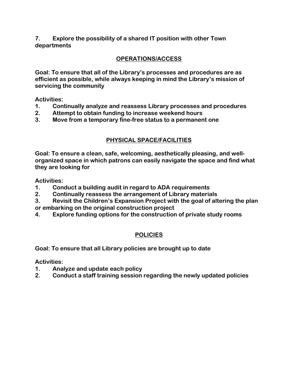**7. Explore the possibility of a shared IT position with other Town departments**

#### **OPERATIONS/ACCESS**

**Goal: To ensure that all of the Library's processes and procedures are as efficient as possible, while always keeping in mind the Library's mission of servicing the community**

**Activities:**

- **1. Continually analyze and reassess Library processes and procedures**
- **2. Attempt to obtain funding to increase weekend hours**
- **3. Move from a temporary fine-free status to a permanent one**

## **PHYSICAL SPACE/FACILITIES**

**Goal: To ensure a clean, safe, welcoming, aesthetically pleasing, and wellorganized space in which patrons can easily navigate the space and find what they are looking for**

**Activities:**

- **1. Conduct a building audit in regard to ADA requirements**
- **2. Continually reassess the arrangement of Library materials**
- **3. Revisit the Children's Expansion Project with the goal of altering the plan**
- **or embarking on the original construction project**
- **4. Explore funding options for the construction of private study rooms**

## **POLICIES**

**Goal: To ensure that all Library policies are brought up to date**

**Activities:**

- **1. Analyze and update each policy**
- **2. Conduct a staff training session regarding the newly updated policies**